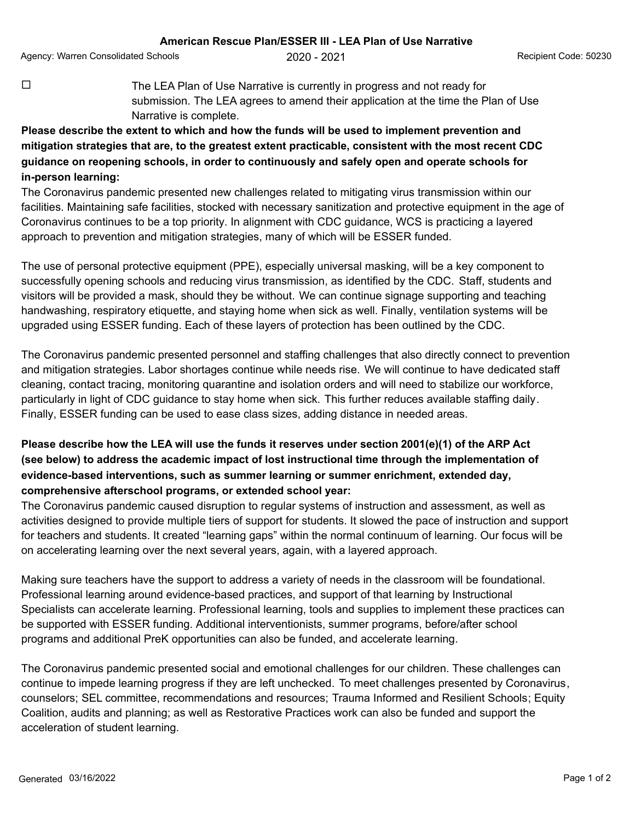Agency: Warren Consolidated Schools **2020 - 2021** Agency: Warren Consolidated Schools **Agency**: **Agency:** Recipient Code: 50230

 $\Box$  The LEA Plan of Use Narrative is currently in progress and not ready for submission. The LEA agrees to amend their application at the time the Plan of Use Narrative is complete.

## **Please describe the extent to which and how the funds will be used to implement prevention and mitigation strategies that are, to the greatest extent practicable, consistent with the most recent CDC guidance on reopening schools, in order to continuously and safely open and operate schools for in-person learning:**

The Coronavirus pandemic presented new challenges related to mitigating virus transmission within our facilities. Maintaining safe facilities, stocked with necessary sanitization and protective equipment in the age of Coronavirus continues to be a top priority. In alignment with CDC guidance, WCS is practicing a layered approach to prevention and mitigation strategies, many of which will be ESSER funded.

The use of personal protective equipment (PPE), especially universal masking, will be a key component to successfully opening schools and reducing virus transmission, as identified by the CDC. Staff, students and visitors will be provided a mask, should they be without. We can continue signage supporting and teaching handwashing, respiratory etiquette, and staying home when sick as well. Finally, ventilation systems will be upgraded using ESSER funding. Each of these layers of protection has been outlined by the CDC.

The Coronavirus pandemic presented personnel and staffing challenges that also directly connect to prevention and mitigation strategies. Labor shortages continue while needs rise. We will continue to have dedicated staff cleaning, contact tracing, monitoring quarantine and isolation orders and will need to stabilize our workforce, particularly in light of CDC guidance to stay home when sick. This further reduces available staffing daily. Finally, ESSER funding can be used to ease class sizes, adding distance in needed areas.

## **Please describe how the LEA will use the funds it reserves under section 2001(e)(1) of the ARP Act (see below) to address the academic impact of lost instructional time through the implementation of evidence-based interventions, such as summer learning or summer enrichment, extended day, comprehensive afterschool programs, or extended school year:**

The Coronavirus pandemic caused disruption to regular systems of instruction and assessment, as well as activities designed to provide multiple tiers of support for students. It slowed the pace of instruction and support for teachers and students. It created "learning gaps" within the normal continuum of learning. Our focus will be on accelerating learning over the next several years, again, with a layered approach.

Making sure teachers have the support to address a variety of needs in the classroom will be foundational. Professional learning around evidence-based practices, and support of that learning by Instructional Specialists can accelerate learning. Professional learning, tools and supplies to implement these practices can be supported with ESSER funding. Additional interventionists, summer programs, before/after school programs and additional PreK opportunities can also be funded, and accelerate learning.

The Coronavirus pandemic presented social and emotional challenges for our children. These challenges can continue to impede learning progress if they are left unchecked. To meet challenges presented by Coronavirus, counselors; SEL committee, recommendations and resources; Trauma Informed and Resilient Schools; Equity Coalition, audits and planning; as well as Restorative Practices work can also be funded and support the acceleration of student learning.